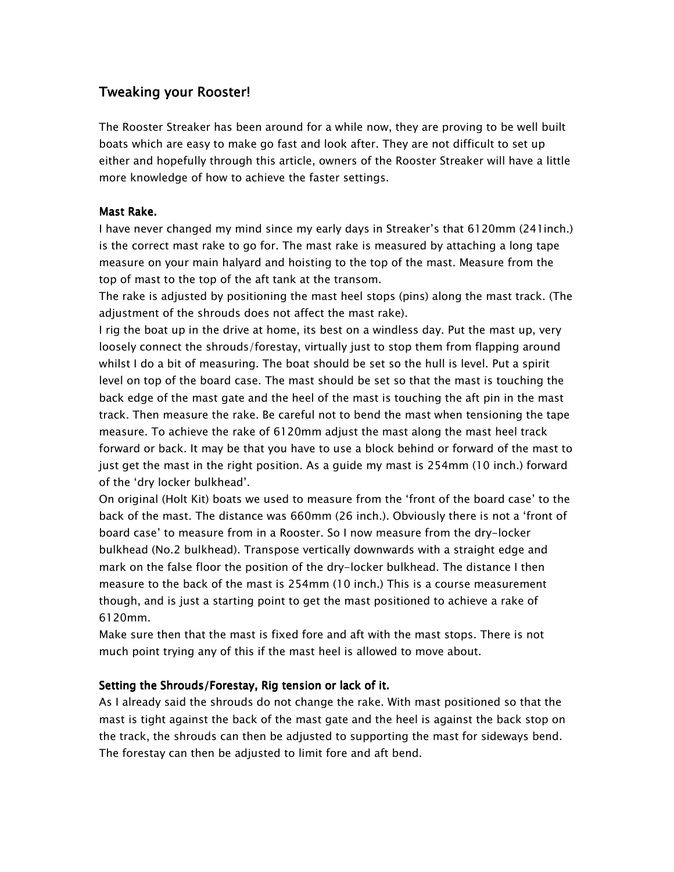## Tweaking your Rooster!

The Rooster Streaker has been around for a while now, they are proving to be well built boats which are easy to make go fast and look after. They are not difficult to set up either and hopefully through this article, owners of the Rooster Streaker will have a little more knowledge of how to achieve the faster settings.

## Mast Rake.

I have never changed my mind since my early days in Streaker's that 6120mm (241inch.) is the correct mast rake to go for. The mast rake is measured by attaching a long tape measure on your main halyard and hoisting to the top of the mast. Measure from the top of mast to the top of the aft tank at the transom.

The rake is adjusted by positioning the mast heel stops (pins) along the mast track. (The adjustment of the shrouds does not affect the mast rake).

I rig the boat up in the drive at home, its best on a windless day. Put the mast up, very loosely connect the shrouds/forestay, virtually just to stop them from flapping around whilst I do a bit of measuring. The boat should be set so the hull is level. Put a spirit level on top of the board case. The mast should be set so that the mast is touching the back edge of the mast gate and the heel of the mast is touching the aft pin in the mast track. Then measure the rake. Be careful not to bend the mast when tensioning the tape measure. To achieve the rake of 6120mm adjust the mast along the mast heel track forward or back. It may be that you have to use a block behind or forward of the mast to just get the mast in the right position. As a guide my mast is 254mm (10 inch.) forward of the 'dry locker bulkhead'.

On original (Holt Kit) boats we used to measure from the 'front of the board case' to the back of the mast. The distance was 660mm (26 inch.). Obviously there is not a 'front of board case' to measure from in a Rooster. So I now measure from the dry-locker bulkhead (No.2 bulkhead). Transpose vertically downwards with a straight edge and mark on the false floor the position of the dry-locker bulkhead. The distance I then measure to the back of the mast is 254mm (10 inch.) This is a course measurement though, and is just a starting point to get the mast positioned to achieve a rake of 6120mm.

Make sure then that the mast is fixed fore and aft with the mast stops. There is not much point trying any of this if the mast heel is allowed to move about.

## Setting the Shrouds/Forestay, Rig tension or lack of it.

As I already said the shrouds do not change the rake. With mast positioned so that the mast is tight against the back of the mast gate and the heel is against the back stop on the track, the shrouds can then be adjusted to supporting the mast for sideways bend. The forestay can then be adjusted to limit fore and aft bend.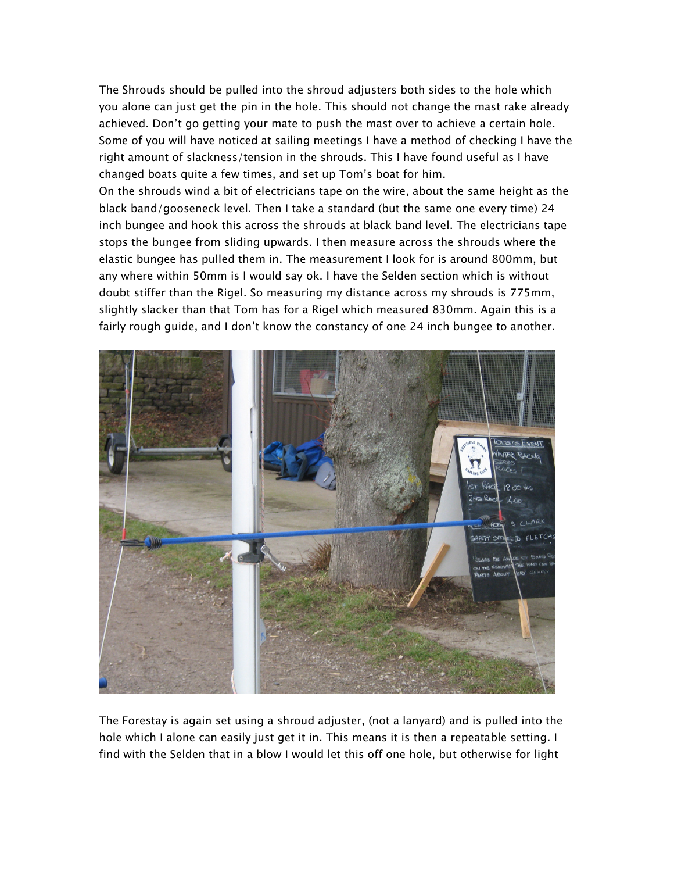The Shrouds should be pulled into the shroud adjusters both sides to the hole which you alone can just get the pin in the hole. This should not change the mast rake already achieved. Don't go getting your mate to push the mast over to achieve a certain hole. Some of you will have noticed at sailing meetings I have a method of checking I have the right amount of slackness/tension in the shrouds. This I have found useful as I have changed boats quite a few times, and set up Tom's boat for him.

On the shrouds wind a bit of electricians tape on the wire, about the same height as the black band/gooseneck level. Then I take a standard (but the same one every time) 24 inch bungee and hook this across the shrouds at black band level. The electricians tape stops the bungee from sliding upwards. I then measure across the shrouds where the elastic bungee has pulled them in. The measurement I look for is around 800mm, but any where within 50mm is I would say ok. I have the Selden section which is without doubt stiffer than the Rigel. So measuring my distance across my shrouds is 775mm, slightly slacker than that Tom has for a Rigel which measured 830mm. Again this is a fairly rough guide, and I don't know the constancy of one 24 inch bungee to another.



The Forestay is again set using a shroud adjuster, (not a lanyard) and is pulled into the hole which I alone can easily just get it in. This means it is then a repeatable setting. I find with the Selden that in a blow I would let this off one hole, but otherwise for light